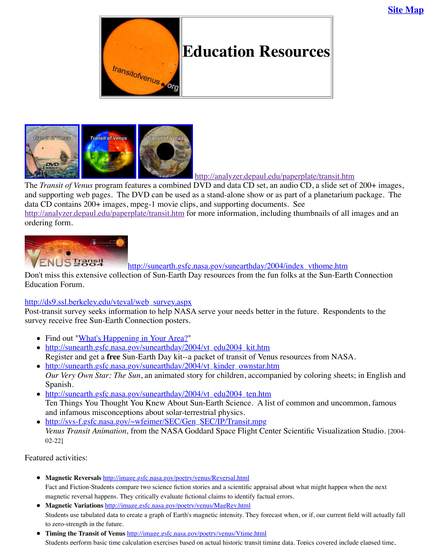

http://analyzer.depaul.edu/paperplate

The *Transit of Venus* p[rogram features a combi](http://old.transitofvenus.org/index.htm)ned DVD and data CD set, an audio CD, and supporting web pages. The DVD can be used as a stand-alone show or as part of a planetarium package. The DVD can be used as a stand-alone show or as part of a data CD contains 200+ images, mpeg-1 movie clips, and supporting documents. See http://analyzer.depaul.edu/paperplate/transit.htm for more information, including thumbi ordering form.



htt[p://sunearth.gsfc.](http://analyzer.depaul.edu/paperplate/label-audio.jpg)nasa.gov/sunearthday/2004/index\_vt

[Don't miss this e](http://analyzer.depaul.edu/paperplate/label-dvd.jpg)[xtensive collectio](http://analyzer.depaul.edu/paperplate/label-data.jpg)n of Sun-Earth Day resources from the fun folks at the Education Forum.

### http://ds9.ssl.berkeley.edu/vteval/web\_survey.aspx

Post-transit survey seeks information to help NASA serve your needs better in the future. survey receive free Sun-Earth Connection posters.

- Find out "What's Happening in Your Area?"
- [http://sunearth.gsfc.nasa.gov/sunearthday/2](http://analyzer.depaul.edu/paperplate/transit.htm)004/vt\_edu2004\_kit.htm Register and get a free Sun-Earth Day kit--a packet of transit of Venus resources f
- http://sunearth.gsfc.nasa.gov/sunearthday/2004/vt\_kinder\_ownstar.htm *Our Very Own Star: The Sun*, an animated story for children, accompanied by colo Spanish.
- http://sunearth.gsfc.nasa.gov/sunearthday/2004/vt\_edu2004\_ten.htm Ten Things You Thought You Knew About Sun-Earth Science. A list of common and infamous misconceptions about solar-terrestrial physics.
- http://svs-f.gsfc.nasa.gov/~wfeimer/SEC/Gen\_SEC/IP/Transit.mpg *[Venus Transit Animation,](http://ds9.ssl.berkeley.edu/vteval/web_survey.aspx) from the NASA Goddard Space Flight Center Scientific* 02-22]

Featured activities:

- **Magnetic Reversals** [http://image.gsfc.nasa.gov/poetr](http://sunearth.gsfc.nasa.gov/sunearthday/2004/index_vthome.htm)y/venus/Reversal.html [Fact and Fiction-Students compare two science fiction stories and a scientific apprai](http://sunearth.gsfc.nasa.gov/sunearthday/2004/vt_edu2004_kit.htm)sal about what m magnetic reversal happens. They critically evaluate fictional claims to identify factual errors.
- **Magnetic Variations** [http://image.gsfc.nasa.gov/poetry/venus/MagRev.html](http://sunearth.gsfc.nasa.gov/sunearthday/2004/vt_kinder_ownstar.htm) Students use tabulated data to create a graph of Earth's magnetic intensity. They forecast when, or if, to zero-strength in the future.
- **Timing the Transit of Venus** [http://image.gsfc.nasa.gov/poetry/venus/Vtime.html](http://sunearth.gsfc.nasa.gov/sunearthday/2004/vt_edu2004_ten.htm) Students perform basic time calculation exercises based on actual historic transit timing data. Topics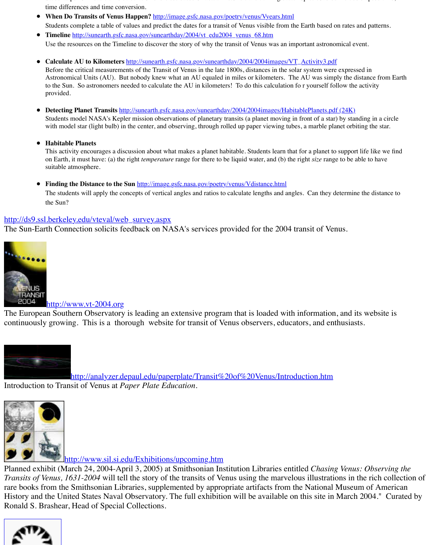#### **Habitable Planets**

This activity encourages a discussion a[bout what makes a planet habitable. Students learn tha](http://image.gsfc.nasa.gov/poetry/venus/Vyears.html)t for a p on Earth, it must have: (a) the right *temperature* range for there to be liquid water, and (b) the right size suitable a[tmosphere.](http://sunearth.gsfc.nasa.gov/sunearthday/2004/vt_edu2004_venus_68.htm)

**• Finding the Distance to the Sun http://image.gsfc.nasa.gov/poetry/venus/Vdistance.html** 

The students will apply the concepts of vertical angles and ratios to calculate lengths and angles. Ca the Sun?

# http://ds9.ssl.berkeley.edu/vteval/web\_survey.aspx

The Sun-Earth Connection solicits feedback on NASA's services provided for the 2004 transit



# http://www.vt-2004.org

The European Southern Observatory is leading an extensive program that is loaded with inform continuously growing. This is a thorou[gh website for transit of Venus observers, edu](http://image.gsfc.nasa.gov/poetry/venus/Vdistance.html)cators, a



http://analyzer.depaul.edu/paperplate/Transit%20of%20Venus/Introduction.htm [Introduction](http://www.eso.org/outreach/eduoff/vt-2004/index.html) to Transit of Venus at *Paper Plate Education*.



http://www.sil.si.edu/Exhibitions/upcoming.htm

Planned exhibit (March 24, 2004-April 3, 2005) at Smithsonian Institution Libraries entitled *C Transits of Venus, 1631-2004* will tell the story of the transits of Venus using the marvelous illustrations in the rich collections of Venus collections of Venus, 1631-2004 will tell the story of the transits of Venus us [rare books from the Smithsonian Libraries, supplemented by appropriate artifacts from the National](http://analyzer.depaul.edu/paperplate/Transit%20of%20Venus/Introduction.htm) Museum of American Museum of American Museum of American Museum of American Museum of American Museum of American Museum of History and the United States Naval Observatory. The full exhibition will be available on this stell Ronald S. Brashear, Head of Special Collections.

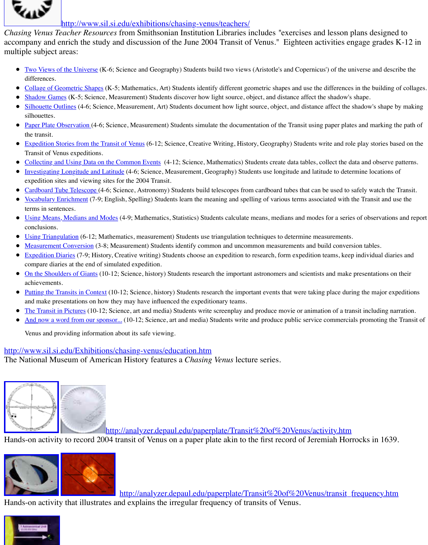- [Expedition St](http://www.sil.si.edu/Exhibitions/upcoming.htm)ories from the Transit of Venus (6-12; Science, Creative Writing, History, Geography) Students Transit of Venus expeditions.
- Collecting an[d Using Data on the Common Events \(4-12; Science, Mathematics\) St](http://www.sil.si.edu/exhibitions/chasing-venus/teachers/)udents create data tables
- Investigating Longitude and Latitude (4-6; Science, Measurement, Geography) Students use longitude and latitude expedition sites and viewing sites for the 2004 Transit.
- Cardboard Tube Telescope (4-6; Science, Astronomy) Students build telescopes from cardboard tubes that can
- Vocabulary Enrichment (7-9; English, Spelling) Students learn the meaning and spelling of various terms associated with the Transit and use the Transit and use the Transit and use the Transit and use the Transit and use th [terms in sentences.](http://www.sil.si.edu/exhibitions/chasing-venus/teachers/lessonplan1.htm)
- [Using Means, Medians and M](http://www.sil.si.edu/exhibitions/chasing-venus/teachers/lessonplan2.htm)odes (4-9; Mathematics, Statistics) Students calculate means, medians and mo conclusions.
- [Using Triangula](http://www.sil.si.edu/exhibitions/chasing-venus/teachers/lessonplan3.htm)tion (6-12; Mathematics, measurement) Students use triangulation techniques to determine near
- [Measurement Conv](http://www.sil.si.edu/exhibitions/chasing-venus/teachers/lessonplan4.htm)ersion (3-8; Measurement) Students identify common and uncommon measurements and
- Expedition Diaries (7-9; History, Creative writing) Students choose an expedition to research, form expedition  $\bullet$ [compare diaries at the en](http://www.sil.si.edu/exhibitions/chasing-venus/teachers/lessonplan5.htm)d of simulated expedition.
- [On the Shoulders of Giants \(10-12; Science,](http://www.sil.si.edu/exhibitions/chasing-venus/teachers/lessonplan6.htm) history) Students research the important astronomers and scient achievements.
- $\bullet$  Putting the Transits in Context (10-12; Science, history) Students research the important events that were tak [and make presentations on how they may have influ](http://www.sil.si.edu/exhibitions/chasing-venus/teachers/lessonplan7.htm)enced the expeditionary teams.
- [The Transit in Pictures \(10-12; Scienc](http://www.sil.si.edu/exhibitions/chasing-venus/teachers/lessonplan8.htm)e, art and media) Students write screenplay and produce movie or anin
- [And now a word from our s](http://www.sil.si.edu/exhibitions/chasing-venus/teachers/lessonplan9.htm)ponsor... (10-12; Science, art and media) Students write and produce public service

[Venus and providing inf](http://www.sil.si.edu/exhibitions/chasing-venus/teachers/vocquiz.html)ormation about its safe viewing.

# http://[www.sil.si.edu/Exhibitions/c](http://www.sil.si.edu/exhibitions/chasing-venus/teachers/lessonplan10.htm)hasing-venus/education.htm

The National Museum of American History features a *Chasing Venus* lecture series.



[h](http://www.sil.si.edu/exhibitions/chasing-venus/teachers/lessonplan15.htm)ttp://analyzer.depaul.edu/paperplate/Transit%20of%20Venus/a

Hand[s-on activity to reco](http://www.sil.si.edu/exhibitions/chasing-venus/teachers/lessonplan16.htm)rd 2004 transit of Venus on a paper plate akin to the first record of Jeremiah Horrocks in 1639.



http://analyzer.depaul.edu/paperplate/Transit%20of%20Ven

Hands-on activity that illustrates and explains the irregular frequency of transits of Venus.

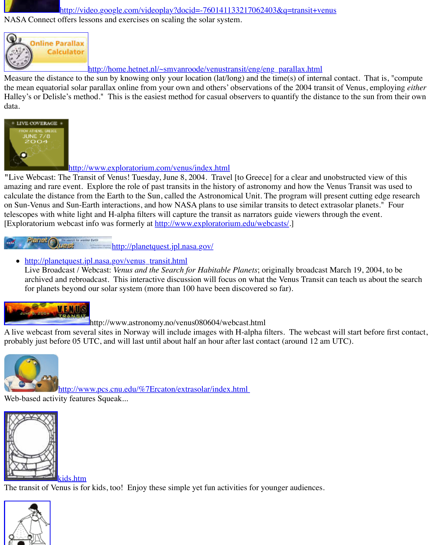

# http://www.exploratorium.com/venus/index.html

"Live Webcast: The Transit of Venus! Tuesday, June 8, 2004. Travel [to Greece] for a clear an [amazing and rare event. Explore the role of past transits in the history of astronomy and how the](http://home.hetnet.nl/~smvanroode/venustransit/eng/eng_parallax.html) Venus Transit was used to  $\mu$ calculate the distance from the Earth to the Sun, called the Astronomical Unit. The program w on Sun-Venus and Sun-Earth interactions, and how NASA plans to use similar transits to detect telescopes with white light and H-alpha filters will capture the transit as narrators guide viewers [Exploratorium webcast info was formerly at http://www.exploratorium.edu/webcasts/.]

Panet ( http://planetquest.jpl.nasa.gov/

• [http://planetq](http://www.exploratorium.com/venus/index.html)uest.jpl.nasa.gov/venus\_transit.html Live Broadcast / Webcast: *Venus and the Search for Habitable Planets*; originally broade archived and rebroadcast. This interactive discussion will focus on what the Venus Tran for planets beyond our solar system (more than 100 have been discovered so far).



http://www.astronomy.no/venus080604/webcast.html

A live webcast from several sites in Norway will include images with H-alpha filters. The wel probably just before 05 UTC, and will last until about half an hour after last contact (around 12



[http://www.pcs.cnu.edu/%7Ercaton/extrasolar/i](http://planetquest.jpl.nasa.gov/)ndex.html

Web-[based activity features Squeak...](http://planetquest.jpl.nasa.gov/venus_transit.html) 



kids.htm

The transit of Venus is for kids, too! Enjoy these simple yet fun activities for younger audience.

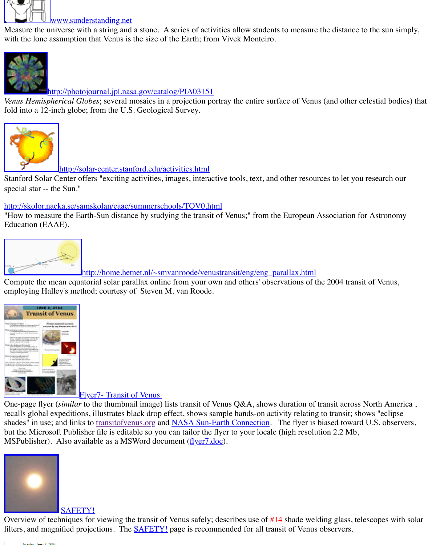

#### http://solar-center.stanford.edu/activities.html

Stanford Solar Center offers "exciting activities, images, interactive tools, text, and other resources to let you research our research our research our research our research our research our research our research our res special star -- the Sun."

# [http://skolor.nacka.se/samskolan/eaae/summerschools/TOV0.htm](http://photojournal.jpl.nasa.gov/catalog/PIA03151)l

"How to measure the Earth-Sun distance by studying the transit of Venus;" from the European Education (EAAE).



http://home.hetnet.nl/~smvanroode/venustransit/eng/eng\_parallax.html

[Compute the mean equatorial solar parallax online from your o](http://solar-center.stanford.edu/activities.html)wn and others' observations of employing Halley's method; courtesy of Steven M. van Roode.



Flyer7- Transit of Venus

One-page flyer (*similar* to the thumbnail image) lists transit of Venus Q&A, shows duration of recalls global expeditions, illustrates black drop effect, shows sample hands-on activity relatin shades" in use; and links to transitofvenus.org and NASA Sun-Earth Connection. The flyer is but the Microsoft Publisher file is editable so you can tailor the flyer to your locale (high resolution 2.2 Mb, MSPublisher). Also available as a MSWord document (flyer7.doc).



#### SAFETY!

[Overview of techniques for viewing the transit o](http://old.transitofvenus.org/flyer7.pub)f Venus safely; describes use of  $#14$  shade we filters, and magnified projections. The **SAFETY!** page is recommended for all transit of Venus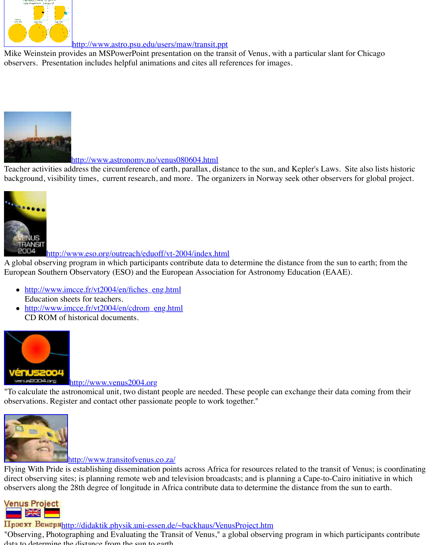

#### http://www.astronomy.no/venus080604.html

[Teacher activities address the circumference of earth, parallax, distan](http://www.astro.psu.edu/users/maw/transit.ppt)ce to the sun, and Kepler' background, visibility times, current research, and more. The organizers in Norway seek other



http://www.eso.org/outreach/eduoff/vt-2004/index.html

[A global observing program in which participants contribute data](http://www.astronomy.no/venus080604.html) to determine the distance from European Southern Observatory (ESO) and the European Association for Astronomy Education

- http://www.imcce.fr/vt2004/en/fiches\_eng.html Education sheets for teachers.
- http://www.imcce.fr/vt2004/en/cdrom\_eng.html CD ROM of historical documents.



### http://www.venus2004.org

["To calculate the astronomical unit, two distant people are needed. T](http://www.eso.org/outreach/eduoff/vt-2004/index.html)hese people can exchange observations. Register and contact other passionate people to work together."



# http://www.transitofvenus.co.za/

Flying With Pride is establishing dissemination points across Africa for resources related to the [direct observing sites; is planning remote web](http://www.venus2004.org/) and television broadcasts; and is planning a Capeobservers along the 28th degree of longitude in Africa contribute data to determine the distance



Проект Венераhttp://didaktik.physik.uni-essen.de/~backhaus/VenusProject.htm "Observing, Photographing and Evaluating the Transit of Venus," a global observing program data to determine the distance from the sun to earth.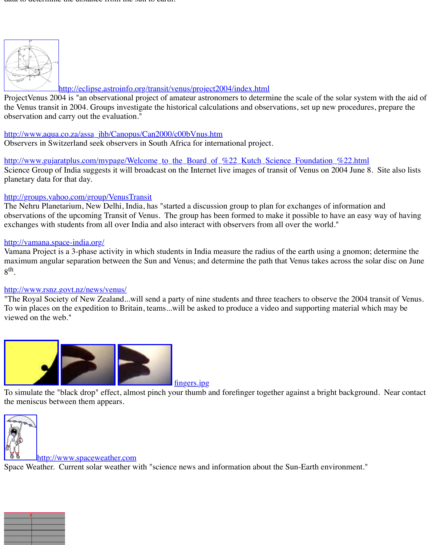http://www.accessive-co.za/assazine-co.za/assazine-co.za/assazine-co.za/assazine-co.za/assazine-co.za/assazine Observers in Switzerland seek observers in South Africa for international project.

http://www.gujaratplus.com/mypage/Welcome\_to\_the\_Board\_of\_%22\_Kutch\_Science\_Found Science Group of India suggests it will broadcast on the Internet live images of transit of Venu planetary data for that day.

# [http://groups.yah](http://eclipse.astroinfo.org/transit/venus/project2004/pub/Blatter.etal.eng.200306.pdf)oo.com/group/VenusTransit

The Nehru Planetarium, New Delhi, India, has "started a discussion group to plan for exchange observations of the upcoming Transit of Venus. The group has been formed to make it possible exchanges with [students from all over India and also interact with observers from](http://eclipse.astroinfo.org/transit/venus/project2004/index.html) all over the

### http://vamana.space-india.org/

Vamana Project is a 3-phase activity in which students in India measure the radius of the earth maximum angular separation between the Sun and Venus; and determine the path that Venus ta [8th.](http://www.aqua.co.za/assa_jhb/Canopus/Can2000/c00bVnus.htm)

# http://www.rsnz.govt.nz/news/venus/

"The Royal Society of New Zealand...will send a party of nine students and three teachers to o To win places on the expedition to Britain, teams...will be asked to produce a video and supporting material material material material and may be material. viewed on the web."



fingers.jpg

To simulate the "black drop" effect, almost pinch your thumb and forefinger together against a the meniscus between them appears.



#### http://www.spaceweather.com

Space Weather. Current solar weather with "science news and information about the Sun-Eart

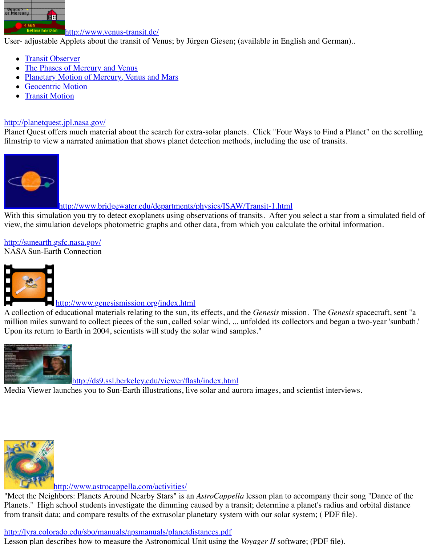filmstrip to view a narrated animation that shows planet detection methods, including the use of



# [http://www.bridgewater.](http://www.venus-transit.de/PlanetPhases/index.html)edu/departments/physics/ISAW/Transit-1.html

With t[his simulation you try to detect exoplanets usin](http://www.venus-transit.de/PlanetMotion/index.html)g observations of transits. After you sele view, [the simulation deve](http://www.venus-transit.de/geocentric/index.html)lops photometric graphs and other data, from which you calculate the

http://sunearth.gsfc.nasa.gov/ [NASA Sun-Earth Connection](http://planetquest.jpl.nasa.gov/)



# http://www.genesismission.org/index.html

A collection of educational materials relating to the sun, its effects, and the *Genesis* mission. The *Sent*  $\alpha$ [million miles sunward to collect pieces of the sun, called solar wind, ... unfolded its coll](http://www.bridgewater.edu/departments/physics/ISAW/Transit-1.html)ectors Upon its return to Earth in 2004, scientists will study the solar wind samples."



[http://ds9](http://sunearth.gsfc.nasa.gov/).ssl.berkeley.edu/viewer/flash/index.html

Media Viewer launches you to Sun-Earth illustrations, live solar and aurora images, and scient



http://www.astrocappella.com/activities/

"Meet the Neighbors: Planets Around Nearby Stars" is an *AstroCappella* lesson plan to accom [Planets." High school students investigate the dimming caused by a tra](http://ds9.ssl.berkeley.edu/viewer/flash/index.html)nsit; determine a planeticfrom transit data; and compare results of the extrasolar planetary system with our solar system

# http://lyra.colorado.edu/sbo/manuals/apsmanuals/planetdistances.pdf

Lesson plan describes how to measure the Astronomical Unit using the *Voyager II* software; (*PDF 65)*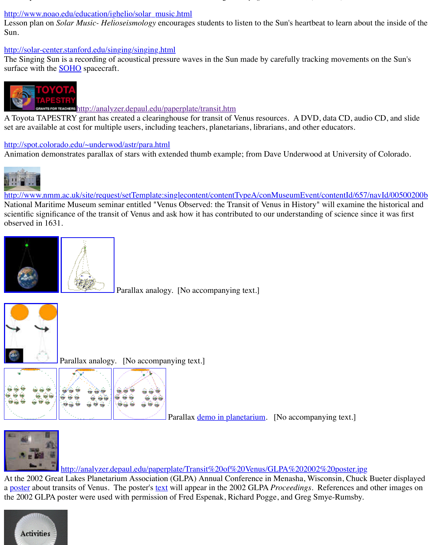# http://spot.colorado.edu/~underwod/astr/para.html

[Animation demonstrates parallax of stars with extended t](http://www.noao.edu/education/ighelio/solar_music.html)humb example; from Dave Underwood



http://www.nmm.ac.uk/site/request/setTemplate:singlecontent/contentTypeA/conMuseumEvent National Mariti[me Mus](http://soho.nascom.nasa.gov/)eum seminar entitled "Venus Observed: the Transit of Venus in History scientific significance of the transit of Venus and ask how it has contributed to our understandi [observed in 1631.](http://analyzer.depaul.edu/paperplate/transit.htm)



Parallax analogy. [No accompanying text.]



Parallax analogy. [No accompanying text.]



Parallax <u>demo in planetarium</u>. [No accompanying text.]



http://analyzer.depaul.edu/paperplate/Transit%20of%20Venus/GLPA%20200 [At the 2002 Grea](http://old.transitofvenus.org/parallax_earth-head.jpg)t Lakes Planetarium Association (GLPA) Annual Conference in Menasha, W a poster about transits of Venus. The poster's <u>text</u> will appear in the 2002 GLPA *Proceedings*. the 2002 GLPA poster were used with permission of Fred Espenak, Richard Pogge, and Greg S

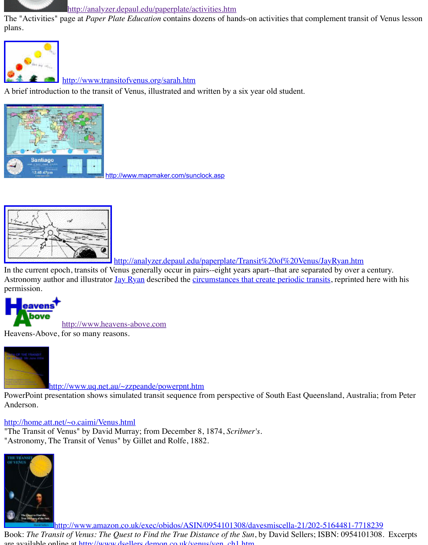

http://www.mapmaker.com/sunclock.asp



http://analyzer.depaul.edu/paperplate/Transit%20of%20Venu

In the current epoch, transits of Venus generally occur in pairs--eight years apart--that are separated by our a century. Astronomy author and illustrator Jay Ryan described the circumstances that create periodic tra permission.



http://www.heavens-above.com

Heavens-Above, for so many reasons.



http://www.uq.net.au/~zzpeande/powerpnt.htm

PowerPoint presentation shows simulated transit sequence from perspective of South East Que Anderson.

# http://home.att.net/~o.caimi/Ven[us.html](http://www.mangobay.cc/users/moonfinder)

"The Transit of Venus" by David Murray; from December 8, 1874, *Scribner's*. ["Astronomy, The](http://http//www.heavens-above.com) Transit of Venus" by Gillet and Rolfe, 1882.



[http://www.amazon.co.uk/exec/obidos/ASIN/](http://www.uq.net.au/~zzpeande/powerpnt.htm)0954101308/davesmiscella-21/20

Book: The Transit of Venus: The Quest to Find the True Distance of the Sun, by David Sellers; are available online at http://www.dsellers.demon.co.uk/venus/ven\_ch1.htm.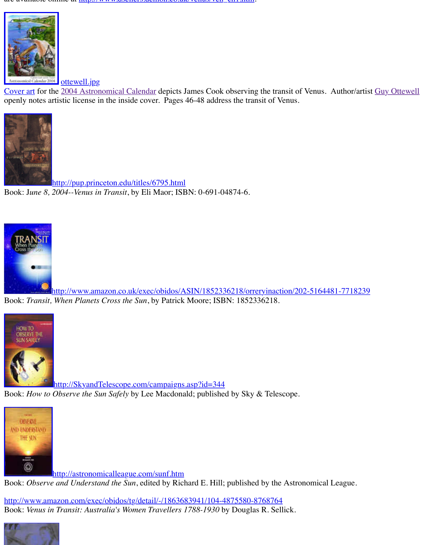

http://pup.princeton.edu/titles/6795.html Book: J*[une 8, 20](http://old.transitofvenus.org/ottewell.jpg)04--Venus in Transit*, by Eli Maor; ISBN: 0-691-04874-6.



[http://www.amazon.co.uk/exec/obidos/A](http://pup.princeton.edu/titles/6795.html)SIN/1852336218/orreryinaction/202-51 Book: *Transit, When Planets Cross the Sun*, by Patrick Moore; ISBN: 1852336218.



[http://SkyandTelescope.com/campaigns.asp?id=344](http://www.amazon.co.uk/exec/obidos/ASIN/1852336218/orreryinaction/202-5164481-7718239) Book: *How to Observe the Sun Safely* by Lee Macdonald; published by Sky & Telescope.



http://astronomicalleague.com/sunf.htm Book: Observe and Understand the Sun, edited by Richard E. Hill; published by the Astronom

[http://www.amazon.com/exec/obidos/tg/detail/-/1863683941/104-4](http://skyandtelescope.com/campaigns.asp?id=344)875580-8768764 Book: *Venus in Transit: Australia's Women Travellers 1788-1930* by Douglas R. Sellick.

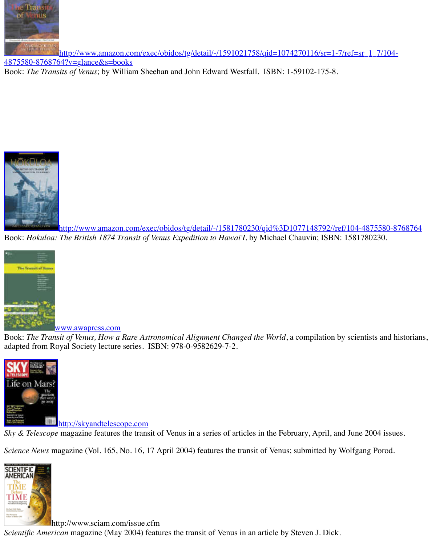

http://www.amazon.com/exec/obidos/tg/detail/-/1581780230/qid%3D1077148 Book: *Hokuloa: The British 1874 Transit of Venus Expedition to Hawai'I*, by Michael Chauvin;



www.awapress.com

Book: *[The Transit of Venus, How a Rare Astronomical Alignment Changed the World](http://www.amazon.com/exec/obidos/tg/detail/-/1581780230/qid=1077148792//ref/104-4875580-8768764)*, a compi adapted from Royal Society lecture series. ISBN: 978-0-9582629-7-2.



**http://skyandtelescope.com** 

*Sky & Telescope* magazine features the transit of Venus in a series of articles in the February, A

*Science News* [magazine \(Vol. 165, N](http://www.awapress.com/)o. 16, 17 April 2004) features the transit of Venus; submit



[http://www.sciam.com/issue.c](http://skyandtelescope.com/)fm

*Scientific American* magazine (May 2004) features the transit of Venus in an article by Steven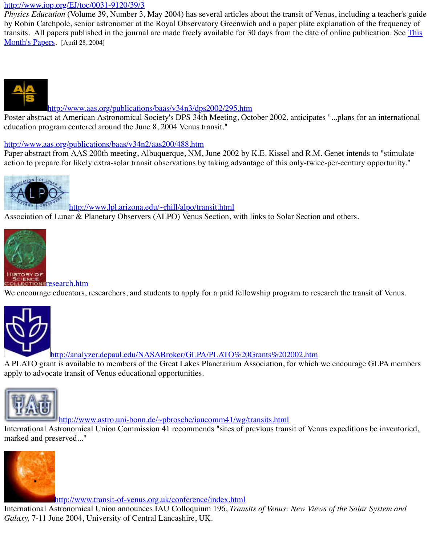# [http://www.aas.org/publications/baas/v34n](http://www.iop.org/EJ/toc/0031-9120/39/3)2/aas200/488.htm

Paper abstract from AAS 200th meeting, Albuquerque, NM, June 2002 by K.E. Kissel and R.M. action to prepare for likely extra-solar transit observations by taking advantage of this only-twice



http://www.lpl.arizona.edu/~rhill/alpo/transit.html

Association of Lunar & Planetary Observers (ALPO) Venus Section, with links to Solar Section



We encourage educators, researchers, and students to apply for a paid fellowship program to re



http://analyzer.depaul.edu/NASABroker/GLPA/PLATO%20Grants%202002.htm A PLATO grant is available to members of the Great Lakes Planetarium Association, for which [apply to advocate transit o](http://old.transitofvenus.org/research.htm)f Venus educational opportunities.



http://www.astro.uni-bonn.de/~pbrosche/iaucomm41/wg/transits.html

International Astronomical Union Commission 41 recommends "sites of previous transit of Ve marked and preserved..."



http://www.transit-of-venus.org.uk/conference/index.html

International Astronomical Union announces IAU Colloquium 196, *Transits of Venus: New View Galaxy,* 7-11 June 2004, University of Central Lancashire, UK.